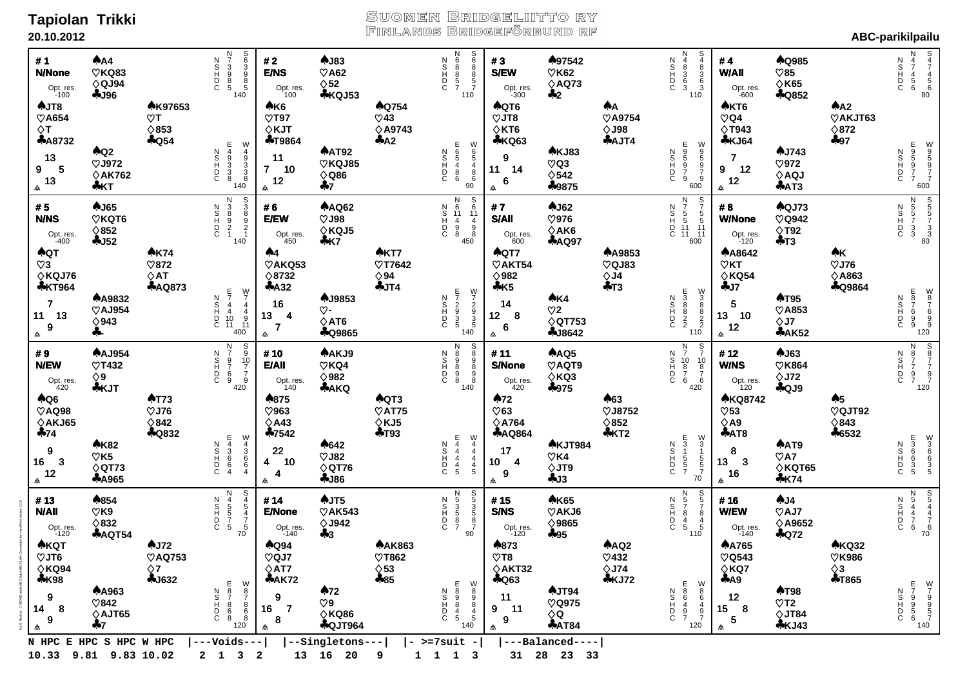### **Tapiolan Trikki 20.10.2012**

Kaj G Backas C:\BOS\Events\ABC\data\ABC#1.dlm Generated by HandPrint version 2.0.0

Kaj G

# Suomen Bridgeliitto ry<br>Finlands Bridgeförbund rf

| <b>AKQT</b><br>AJ72<br><b>AQ94</b><br>$\heartsuit$ JT6<br>$\heartsuit$ AQ753<br>$\heartsuit$ QJ7<br>$\diamond$ KQ94<br>$\diamond$ 7<br>$\diamond$ AT7<br><b>*K98</b><br><b>4J632</b><br><b>*AK72</b><br>E87868<br>$\begin{array}{c} W \\ 8 \\ 7 \end{array}$<br><b>AA963</b><br>A72<br>N<br>C<br>D<br>C<br>9<br>9<br>$\heartsuit$ 842<br>$\heartsuit$ 9<br>$\frac{8}{6}$<br>$\overline{7}$<br>14<br>16<br>8<br>$\diamond$ KQ86<br>$\diamond$ AJT65<br>9<br>8<br><b>&amp;QJT964</b><br>♣7<br>120<br>₳<br>₳ | N<br>4<br>5<br>5<br>5<br>5<br>5<br>$\begin{array}{c}\n 8 \\  4 \\  5 \\  4\n \end{array}$<br>₳854<br>AJT5<br>#13<br>ODINZ<br>#14<br><b>N/AII</b><br>$\heartsuit$ K9<br>$\heartsuit$ AK543<br><b>E/None</b><br>$\overline{7}$<br>$\diamond$ 832<br>$\diamond$ J942<br>Opt. res.<br>-120<br>Opt. res.<br>-140<br>$70$<br><b>&amp;AQT54</b><br>$+3$ | <b>AT73</b><br>AQ6<br>♠875<br>$\heartsuit$ AQ98<br>$\heartsuit$ J76<br>$\heartsuit$ 963<br>$\diamond$ AKJ65<br>$\diamond$ 842<br>$\diamond$ A43<br><b>AQ832</b><br>$+74$<br>♣7542<br>E43664<br>W<br>4<br>3<br>6<br>6<br>4<br><b>AK82</b><br>A642<br>ODINZ<br>$\boldsymbol{9}$<br>22<br>$\heartsuit$ K5<br>$\heartsuit$ J82<br>$\overline{\mathbf{3}}$<br>16<br>10<br>4<br>$\diamond$ QT76<br>$\diamond$ QT73<br>12<br>4<br><b>*A965</b><br>$-186$<br>₳<br>₳ | N<br>7<br>9<br>7<br>6<br>9<br>$rac{S}{9}$<br>$rac{10}{7}$<br><b>AAJ954</b><br>AAKJ9<br>#9<br>ODINZ<br>#10<br><b>N/EW</b><br>$\heartsuit$ T432<br>$\heartsuit$ KQ4<br><b>E/All</b><br>$\frac{7}{9}$<br>$\diamond$ 982<br>$\diamond$ 9<br>Opt. res.<br>420<br>Opt. res.<br>420<br><b>*AKQ</b><br><b>*KJT</b><br>140 | <b>AK74</b><br><b>AQT</b><br>A <sub>4</sub><br>$\heartsuit$ 3<br>$\heartsuit$ 872<br>$\heartsuit$ AKQ53<br>$\diamond$ KQJ76<br>$\diamond$ AT<br>$\diamond$ 8732<br><b>*KT964</b><br><b>AAQ873</b><br>$+A32$<br>E<br>7<br>4<br>4<br>10<br>11<br>$\frac{W}{7}$<br>AJ9853<br><b>AA9832</b><br><b>CDINN</b><br>$\overline{7}$<br>16<br>$\overline{4}$<br>$\heartsuit$ AJ954<br>♡-<br>11 13<br>$\overline{4}$<br>13 <sub>1</sub><br>$\begin{array}{c}9\\11\\400\end{array}$<br>$\diamond$ AT6<br>$\diamond$ 943<br>$\overline{\mathbf{r}}$<br>$\boldsymbol{9}$<br><b>+Q9865</b><br>수-<br>₳<br>₳ | AJ65<br><b>AAQ62</b><br>#5<br>ODHOZ<br>#6<br>$\heartsuit$ KQT6<br><b>N/NS</b><br>$\heartsuit$ J98<br><b>E/EW</b><br>$\diamond$ 852<br>$\diamond$ KQJ5<br>Opt. res.<br>-400<br>Opt. res.<br>450<br>$-152$<br>$+K7$ | AJT8<br><b>AK97653</b><br>A K6<br>$\heartsuit$ A654<br>$\heartsuit$ T97<br>$\heartsuit$ T<br>$\Diamond$ T<br>$\diamond$ 853<br>$\diamond$ KJT<br><b>AA8732</b><br>$A$ Q54<br><b>+T9864</b><br>E4933<br>W<br>4<br>8<br>8<br>8<br><b>AAT92</b><br>$A$ Q2<br>ODINZ<br>13<br>11<br>$\heartsuit$ KQJ85<br>$\heartsuit$ J972<br>-5<br>9<br>7 <sup>7</sup><br>10<br>$\diamond$ Q86<br>$\diamond$ AK762<br>13<br>12<br>140<br>$+7$<br>∻KT<br>$\Delta\!{\!\!\Delta}$<br>₳ | N<br>7<br>3<br>9<br>8<br>5<br><b>თამშე</b><br>გ<br>#1<br>AA<br>AJ83<br>ODINZ<br>#2<br><b>N/None</b><br>$\heartsuit$ KQ83<br>$\heartsuit$ A62<br><b>E/NS</b><br>$\diamond$ QJ94<br>$\diamond$ 52<br>Opt. res.<br>-100<br>Opt. res.<br>140<br><b>*KQJ53</b><br>$-196$<br>100 |
|-----------------------------------------------------------------------------------------------------------------------------------------------------------------------------------------------------------------------------------------------------------------------------------------------------------------------------------------------------------------------------------------------------------------------------------------------------------------------------------------------------------|--------------------------------------------------------------------------------------------------------------------------------------------------------------------------------------------------------------------------------------------------------------------------------------------------------------------------------------------------|-------------------------------------------------------------------------------------------------------------------------------------------------------------------------------------------------------------------------------------------------------------------------------------------------------------------------------------------------------------------------------------------------------------------------------------------------------------|-------------------------------------------------------------------------------------------------------------------------------------------------------------------------------------------------------------------------------------------------------------------------------------------------------------------|--------------------------------------------------------------------------------------------------------------------------------------------------------------------------------------------------------------------------------------------------------------------------------------------------------------------------------------------------------------------------------------------------------------------------------------------------------------------------------------------------------------------------------------------------------------------------------------------|-------------------------------------------------------------------------------------------------------------------------------------------------------------------------------------------------------------------|------------------------------------------------------------------------------------------------------------------------------------------------------------------------------------------------------------------------------------------------------------------------------------------------------------------------------------------------------------------------------------------------------------------------------------------------------------------|----------------------------------------------------------------------------------------------------------------------------------------------------------------------------------------------------------------------------------------------------------------------------|
| <b>AAK863</b><br>$\heartsuit$ T862<br>$\diamond$ 53<br>$+85$<br>E<br>5<br>4<br>5<br>≫∞∞45<br>ODINZ                                                                                                                                                                                                                                                                                                                                                                                                        | $\begin{array}{c}\n0 \\ 0\n\end{array}$<br>N<br>5<br>3<br>5<br>7<br>ODINZ                                                                                                                                                                                                                                                                        | AQT3<br>$\heartsuit$ AT75<br>$\diamond$ KJ5<br>$+T93$<br>E<br>4<br>4<br>4<br>5<br>W<br>4<br>4<br>4<br>5<br>ODINZ                                                                                                                                                                                                                                                                                                                                            | 899898<br>00000000<br>ODINZ<br>140                                                                                                                                                                                                                                                                                | <b>AKT7</b><br>$\heartsuit$ T7642<br>$\diamond$ 94<br>$+JT4$<br><b>FTM</b><br>$W$<br>$7$<br>$2$<br>$9$<br>$3$<br>$5$<br>$140$<br>ODINZ                                                                                                                                                                                                                                                                                                                                                                                                                                                     | N<br>6<br>6<br>6<br>11<br>4<br>9<br>8<br>4<br>50<br>4<br>50<br>ODINZ                                                                                                                                              | <b>AQ754</b><br>$\heartsuit$ 43<br><b>◇A9743</b><br>A2<br>E<br>6<br>8<br>8<br>6<br>⊗<br>90<br>90<br>90<br>ODINZ                                                                                                                                                                                                                                                                                                                                                  | N<br>0<br>0<br>0<br>0<br>0<br>0<br>0<br>0<br>0<br>0<br>0<br>0<br>0<br>0<br>0<br><b>S</b><br>7<br>7<br><b>ODISCE</b><br>110                                                                                                                                                 |
| ♠873<br>$\heartsuit$ T8<br>$\diamond$ AKT32<br><b>4Q63</b><br>AJT94<br>11<br>$\heartsuit$ Q975<br>9<br>-11<br>⇔Q                                                                                                                                                                                                                                                                                                                                                                                          | <b>AK65</b><br>#15<br><b>S/NS</b><br>$\heartsuit$ AKJ6<br>$\diamond$ 9865<br>Opt. res.<br>-120<br>$+95$                                                                                                                                                                                                                                          | A72<br>$\heartsuit$ 63<br>$\diamond$ A764<br><b>*AQ864</b><br><b>AKJT984</b><br>17<br>$\heartsuit$ K4<br>$\overline{4}$<br>10<br>$\diamond$ JT9<br>9<br>4J3<br>                                                                                                                                                                                                                                                                                             | #11<br>AAQ5<br>$\heartsuit$ AQT9<br><b>S/None</b><br>$\diamond$ KQ3<br>Opt. res.<br>$420$<br>$+975$                                                                                                                                                                                                               | ♠QT7<br>$\heartsuit$ AKT54<br>$\diamond$ 982<br>$+K5$<br>AK4<br>14<br>$\heartsuit$ 2<br>$12 \quad 8$<br>$\diamond$ QT753<br>$\bf 6$<br><b>4J8642</b><br>                                                                                                                                                                                                                                                                                                                                                                                                                                   | $A$ J62<br>#7<br>$\heartsuit$ 976<br><b>S/All</b><br>$\diamond$ AK6<br>Opt. res.<br>$600$<br><b>*AQ97</b>                                                                                                         | AQT6<br>$\heartsuit$ JT8<br>$\diamond$ KT6<br><b>*KQ63</b><br><b>AKJ83</b><br>$\boldsymbol{9}$<br>$\heartsuit$ Q3<br>14<br>11<br>$\diamond$ 542<br>6<br>♣9875<br>$\triangle$                                                                                                                                                                                                                                                                                     | ♠97542<br>#3<br><b>S/EW</b><br>$\heartsuit$ K62<br>$\diamond$ AQ73<br>Opt. res.<br>-300<br>$+2$                                                                                                                                                                            |
| AAQ2<br>$\heartsuit$ 432<br>$\diamond$ J74<br>$5KJ72$<br>E86497<br>W86497<br>ODINZ                                                                                                                                                                                                                                                                                                                                                                                                                        | N<br>5<br>7<br>8<br>4<br>5<br>S<br>5<br>7<br>8<br>4<br>5<br>ODINZ<br>110                                                                                                                                                                                                                                                                         | A63<br>$\heartsuit$ J8752<br>$\diamond$ 852<br>$*KT2$<br>E<br>3<br>1<br>5<br>5<br>7<br>$\frac{W}{3}$<br>ODINZ<br>$\overline{1}$<br>$\frac{5}{5}$<br>70                                                                                                                                                                                                                                                                                                      | N 7<br>10<br>8<br>7<br>6<br>S<br>7<br>10<br>8<br>7<br>6<br>ODINZ<br>420                                                                                                                                                                                                                                           | <b>AA9853</b><br>$\heartsuit$ QJ83<br>$\diamond$ J4<br>$+T3$<br>E3880D<br>$\begin{array}{c} 0 \ 3 \ 3 \ 8 \ 8 \ 2 \ 2 \ 110 \end{array}$<br>ODINZ                                                                                                                                                                                                                                                                                                                                                                                                                                          | N 7 7<br>S 7 5 5<br>H 5 5 5<br>D 11 11<br>C 11 11<br>600                                                                                                                                                          | ѦА<br>$\heartsuit$ A9754<br>$\diamond$ J98<br><b>AJT4</b><br>E95979<br>Mora<br>Noro<br>ODINZ<br>600                                                                                                                                                                                                                                                                                                                                                              | <b>N</b><br>3638<br>ODINZ<br>110                                                                                                                                                                                                                                           |
| <b>AA765</b><br>$\heartsuit$ Q543<br>$\diamond$ KQ7<br>$+A9$<br><b>AT98</b><br>12<br>$\heartsuit$ T2<br>15 <sub>1</sub><br>-8<br>$\diamond$ JT84<br>5                                                                                                                                                                                                                                                                                                                                                     | A J4<br>#16<br><b>W/EW</b><br>$\heartsuit$ AJ7<br>$\diamond$ A9652<br>Opt. res.<br>-140<br>$+072$                                                                                                                                                                                                                                                | <b>AKQ8742</b><br>$\heartsuit$ 53<br>$\diamond$ A9<br>AAT8<br>AAT9<br>8<br>$\heartsuit$ A7<br>13<br>$\mathbf{3}$<br>$\diamond$ KQT65<br>16<br>$+K74$<br>₳                                                                                                                                                                                                                                                                                                   | AJ63<br>#12<br><b>W/NS</b><br>$\heartsuit$ K864<br>$\diamond$ J72<br>Opt. res.<br>120<br>$+QJ9$                                                                                                                                                                                                                   | <b>AA8642</b><br>$\heartsuit$ KT<br>$\diamond$ KQ54<br>$+J7$<br><b>AT95</b><br>5<br>$\heartsuit$ A853<br>13 10<br>$\diamond$ J7<br>12<br><b>*AK52</b><br>₳                                                                                                                                                                                                                                                                                                                                                                                                                                 | <b>AQJ73</b><br>#8<br><b>W/None</b><br>$\heartsuit$ Q942<br>$\Diamond$ T92<br>Opt. res.<br>-120<br>$+T3$                                                                                                          | AKT6<br>$\heartsuit$ Q4<br>◇Т943<br><b>*KJ64</b><br>AJ743<br>$\overline{7}$<br>$\heartsuit$ 972<br>12<br>9<br>$\diamond$ AQJ<br>12<br>AAT3<br>₳                                                                                                                                                                                                                                                                                                                  | A Q985<br>#4<br><b>W/All</b><br>$\heartsuit$ 85<br>$\diamond$ K65<br>Opt. res.<br>-600<br><b>AQ852</b>                                                                                                                                                                     |
| <b>AKQ32</b><br><b>♡K986</b><br>$\diamond$ 3<br><b>+T865</b>                                                                                                                                                                                                                                                                                                                                                                                                                                              |                                                                                                                                                                                                                                                                                                                                                  | A <sub>5</sub><br>$\heartsuit$ QJT92<br>$\diamond$ 843<br>♣6532                                                                                                                                                                                                                                                                                                                                                                                             |                                                                                                                                                                                                                                                                                                                   | AK<br>$\heartsuit$ J76<br>$\diamond$ A863<br><b>4Q9864</b>                                                                                                                                                                                                                                                                                                                                                                                                                                                                                                                                 |                                                                                                                                                                                                                   | $A^2$<br>$\heartsuit$ AKJT63<br>$\diamond$ 872<br>$-97$                                                                                                                                                                                                                                                                                                                                                                                                          |                                                                                                                                                                                                                                                                            |
| F79956<br>$\begin{array}{c} W \\ 7 \\ 9 \\ 9 \\ 5 \\ 7 \\ 140 \end{array}$<br><b>CDHOS</b>                                                                                                                                                                                                                                                                                                                                                                                                                | $\frac{5}{5}$<br>$\frac{4}{7}$<br>$\frac{4}{7}$<br>$\frac{6}{70}$<br>N<br>5<br>4<br>7<br>6<br>7<br>6<br>ODINZ                                                                                                                                                                                                                                    | ≫<br>coops<br><b>DECORD</b><br><b>CDINN</b>                                                                                                                                                                                                                                                                                                                                                                                                                 | $\begin{array}{c} 5 \\ 8 \\ 7 \\ 7 \\ 9 \\ 7 \\ 120 \end{array}$<br>N<br>8<br>7<br>7<br>9<br>7<br><b>CDINN</b>                                                                                                                                                                                                    | $\begin{array}{c} 0 \\ 8 \\ 7 \\ 6 \\ 9 \\ 9 \\ 120 \end{array}$<br>E87699<br>ODHOZ                                                                                                                                                                                                                                                                                                                                                                                                                                                                                                        | $\begin{array}{c}\n 8 \\  80\n\end{array}$<br>N<br>5<br>5<br>3<br>3<br>ODINZ                                                                                                                                      | M95027<br>E95977<br>ODINZ<br>600                                                                                                                                                                                                                                                                                                                                                                                                                                 | N<br>4<br>7<br>4<br>5<br>6<br>$\frac{1}{5}$<br>$\frac{4}{5}$<br>$\frac{4}{5}$<br>$\frac{5}{6}$<br>80<br><b>CDINN</b>                                                                                                                                                       |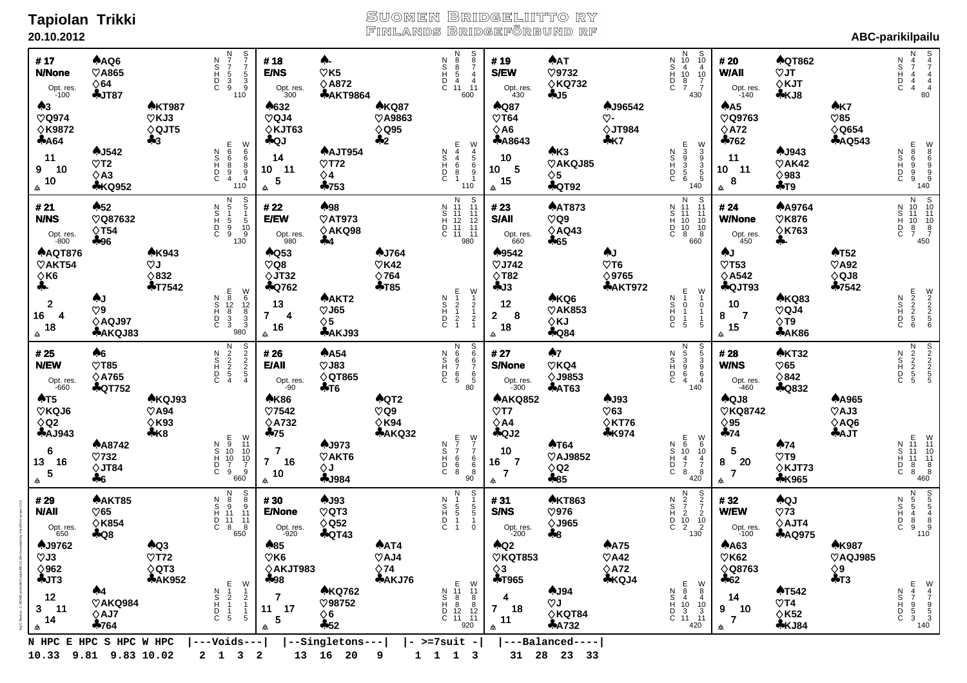### **Tapiolan Trikki 20.10.2012**

Kaj G Backas C:\BOS\Events\ABC\data\ABC#1.dlm Generated by HandPrint version 2.0.0

# Suomen Bridgeliitto ry<br>Finlands Bridgeförbund rf

| #17<br><b>N/None</b><br>Opt. res.<br>-100<br>A <sub>3</sub>                                                    | AAQ6<br>$\heartsuit$ A865<br>$\diamond$ 64<br>$+JT87$            | <b>AKT987</b>                                                     | S<br>7<br>7<br>5<br>3<br>9<br>N<br>7<br>7<br>5<br>3<br>9<br>ODISDZ<br>110                                                                                                                                                                                                                                                              | #18<br><b>E/NS</b><br>Opt. res.<br>300<br>♠632                                                                  | ♠-<br>$\heartsuit$ K5<br>$\diamond$ A872<br><b>&amp;AKT9864</b> | <b>AKQ87</b>                                               | N<br>8<br>8<br>5<br>4<br>1<br>1<br>S<br>8<br>7<br>4<br>4<br>11<br><b>COTON</b><br>600            | #19<br><b>S/EW</b><br>Opt. res.<br>$430$<br><b>AQ87</b>                                                                      | <b>AAT</b><br>$\heartsuit$ 9732<br>$\diamond$ KQ732<br>$-15$    | <b>AJ96542</b>                                                    | $\begin{array}{c}\nN \\ 10 \\ 4 \\ 10 \\ 8 \\ 7\n\end{array}$<br>S<br>10<br>4<br>10<br>7<br>7<br>ODINZ<br>430                                            | # 20<br><b>W/All</b><br>Opt. res.<br>-140<br>$A$ <sub>A5</sub>                                           | <b>AQT862</b><br>$\nabla J$<br>$\diamond$ KJT<br>$+KJ8$           | AK7                                                          | $\frac{5}{4}$<br>$\frac{4}{4}$<br>80<br>N<br>4<br>7<br>4<br>4<br>4<br><b>CDINN</b>                                                      |
|----------------------------------------------------------------------------------------------------------------|------------------------------------------------------------------|-------------------------------------------------------------------|----------------------------------------------------------------------------------------------------------------------------------------------------------------------------------------------------------------------------------------------------------------------------------------------------------------------------------------|-----------------------------------------------------------------------------------------------------------------|-----------------------------------------------------------------|------------------------------------------------------------|--------------------------------------------------------------------------------------------------|------------------------------------------------------------------------------------------------------------------------------|-----------------------------------------------------------------|-------------------------------------------------------------------|----------------------------------------------------------------------------------------------------------------------------------------------------------|----------------------------------------------------------------------------------------------------------|-------------------------------------------------------------------|--------------------------------------------------------------|-----------------------------------------------------------------------------------------------------------------------------------------|
| $\heartsuit$ Q974<br><b>◇K9872</b><br><b>AA64</b><br>11<br>10<br>9<br>10<br>₳                                  | AJ542<br>$\heartsuit$ T2<br>$\diamond$ A3<br><b>*KQ952</b>       | $\heartsuit$ KJ3<br>$\diamond$ QJT5<br>$+3$                       | H98894<br>≫<br>ФФ<br>ФФ<br>Ф<br>ODINZ<br>110                                                                                                                                                                                                                                                                                           | $\heartsuit$ QJ4<br>$\diamond$ KJT63<br><b>AQJ</b><br>14<br>$10 - 11$<br>5<br>₳                                 | AAJT954<br>$\heartsuit$ T72<br>$\diamond$ 4<br>$-753$           | <b>♡A9863</b><br>$\diamond$ Q95<br>$+2$                    | E44681<br>W<br>456<br>9<br>1<br>ODISZ<br>110                                                     | $\heartsuit$ T64<br>$\diamond$ A6<br><b>AA8643</b><br>10<br>10 <sub>5</sub><br>15<br>$\triangle$                             | A K3<br>$\heartsuit$ AKQJ85<br>$\diamond$ 5<br><b>&amp;QT92</b> | ♡-<br>$\diamond$ JT984<br>$+K7$                                   | <b>MADOOD</b><br>≫<br>saasa<br><b>NATE</b><br>$_{\rm C}^{\rm D}$<br>140                                                                                  | <b>♡Q9763</b><br>$\diamond$ A72<br>$*762$<br>11<br>10 <sub>1</sub><br>$-11$<br>$\boldsymbol{8}$<br>₳     | AJ943<br>$\heartsuit$ AK42<br>$\diamond$ 983<br>$+T9$             | $\heartsuit$ 85<br>$\diamond$ Q654<br><b>&amp;AQ543</b>      | $\frac{8}{8}$<br>$\frac{8}{9}$<br>$\frac{9}{9}$<br>$\frac{9}{140}$<br>000000<br><b>CDINN</b>                                            |
| # 21<br><b>N/NS</b><br>Opt. res.<br>-800                                                                       | $\clubsuit 52$<br>$\heartsuit$ Q87632<br>$\Diamond$ T54<br>$+96$ |                                                                   | N<br>5<br>5<br>9<br>9<br>$\frac{S}{5}$<br>ODHOZ<br>$\begin{array}{c} 7 \\ 1 \\ 5 \\ 10 \\ 9 \\ 130 \end{array}$                                                                                                                                                                                                                        | # 22<br><b>E/EW</b><br>Opt. res.<br>980                                                                         | ♠98<br>$\heartsuit$ AT973<br>$\diamond$ AKQ98<br>$+4$           |                                                            | N S<br>N 11 11<br>S 11 11<br>H 12 12<br>D 11 11<br>C 11 11<br>980                                | #23<br><b>S/All</b><br>Opt. res.<br>$660$                                                                                    | <b>AAT873</b><br>$\heartsuit$ Q9<br>$\diamond$ AQ43<br>$+65$    |                                                                   | N S<br>N 11 11<br>S 11 11<br>H 10 10<br>D 10 10<br>C 8 660                                                                                               | # 24<br><b>W/None</b><br>Opt. res.<br>450                                                                | <b>AA9764</b><br>$\heartsuit$ K876<br>$\diamond$ K763<br>수-       |                                                              | N S<br>N 10 10<br>S 11 11<br>H 10 10<br>D 8 8<br>C 7<br>450                                                                             |
| <b>AAQT876</b><br>$\heartsuit$ AKT54<br>$\diamond$ K6<br>♣-<br>$\overline{2}$<br>16<br>-4<br>18<br>₳           | AJ<br>$\heartsuit$ 9<br>$\diamond$ AQJ97<br><b>AAKQJ83</b>       | <b>AK943</b><br>$\heartsuit$ J<br>$\diamond$ 832<br><b>+T7542</b> | E 8<br>2<br>3<br>3<br>3<br>W 6<br>12<br>8<br>3<br>3<br>ODINZ<br>980                                                                                                                                                                                                                                                                    | AQ53<br>$\heartsuit$ Q8<br>$\diamond$ JT32<br><b>AQ762</b><br>13<br>$\overline{7}$<br>$\overline{4}$<br>16<br>₳ | AAKT2<br>$\heartsuit$ J65<br>$\diamond$ 5<br><b>AAKJ93</b>      | AJ764<br>$\heartsuit$ K42<br>$\diamond$ 764<br><b>+T85</b> | E12121<br>$V_1$<br>$V_2$<br>$V_3$<br>$V_4$<br>$V_5$<br>ODINZ                                     | ♠9542<br>$\heartsuit$ J742<br>$\Diamond$ T82<br>4J3<br>12<br>$\overline{2}$<br>$\overline{\phantom{a}}$ 8<br>18<br>          | AKQ6<br>$\heartsuit$ AK853<br>$\diamond$ KJ<br><b>4Q84</b>      | AJ<br>$\heartsuit$ T6<br>$\diamond$ 9765<br><b>&amp;AKT972</b>    | $\frac{E}{1}$<br>W<br>$\overline{1}$ 0<br>ODISOZ<br>$\frac{0}{1}$<br>$\mathbf{1}$<br>$\frac{1}{5}$<br>5                                                  | AJ<br>$\heartsuit$ T53<br>$\diamond$ A542<br><b>AQJT93</b><br>10<br>$\overline{7}$<br>8<br>15<br>₳       | <b>AKQ83</b><br>$\heartsuit$ QJ4<br>$\Diamond$ T9<br><b>*AK86</b> | <b>AT52</b><br>$\heartsuit$ A92<br>$\diamond$ QJ8<br>$-7542$ | <b>MANDINE</b><br>ODHOZ                                                                                                                 |
| # 25<br><b>N/EW</b><br>Opt. res.<br>-660<br>AT5                                                                | A6<br>$\heartsuit$ T85<br>$\diamond$ A765<br><b>&amp;QT752</b>   | AKQJ93                                                            | N<br>2<br>2<br>2<br>5<br>4<br>S<br>2<br>2<br>5<br>4<br>5<br>4<br>ODINZ                                                                                                                                                                                                                                                                 | #26<br>E/All<br>Opt. res.<br>-90<br><b>AK86</b>                                                                 | <b>AA54</b><br>$\heartsuit$ J83<br>$\diamond$ QT865<br>$+T6$    | <b>AQT2</b>                                                | S<br>6<br>6<br>6<br>5<br>6<br>5<br>0                                                             | # 27<br><b>S/None</b><br>Opt. res.<br>-300<br><b>AAKQ852</b>                                                                 | A7<br>$\heartsuit$ KQ4<br><b>◇J9853</b><br><b>&amp;AT63</b>     | AJ93                                                              | N<br>5<br>3<br>6<br>4<br><b>S</b><br>4<br>0<br>0<br>0<br>0<br>5<br>0<br>0<br>0<br>0<br>0<br>0<br>0<br>0<br>0<br>0<br>0<br>ODISOZ<br>140                  | #28<br><b>W/NS</b><br>Opt. res.<br>-460<br>AQJ8                                                          | <b>AKT32</b><br>$\heartsuit$ 65<br>$\diamond$ 842<br><b>AQ832</b> | <b>AA965</b>                                                 | <b>N</b><br>22<br>5<br>5<br><b>S</b><br>Spanno<br>ODINZ                                                                                 |
| $\heartsuit$ KQJ6<br>$\diamond$ Q2<br><b>&amp;AJ943</b><br>$\bf 6$<br>16<br>13<br>$\overline{\mathbf{5}}$<br>₳ | <b>AA8742</b><br>$\heartsuit$ 732<br>$\diamond$ JT84<br>$+6$     | $\heartsuit$ A94<br>$\diamond$ K93<br>$+K8$                       | E<br>9<br>10<br>7<br>9<br>$\begin{array}{c} 0.00000 \\ 0.0000 \\ 0.0000 \\ 0.0000 \\ 0.0000 \\ 0.0000 \\ 0.0000 \\ 0.0000 \\ 0.0000 \\ 0.0000 \\ 0.0000 \\ 0.0000 \\ 0.0000 \\ 0.0000 \\ 0.0000 \\ 0.0000 \\ 0.0000 \\ 0.0000 \\ 0.0000 \\ 0.0000 \\ 0.0000 \\ 0.0000 \\ 0.0000 \\ 0.0000 \\ 0.0000 \\ 0.0000 \\ 0.0$<br>ODISDZ<br>660 | $\heartsuit$ 7542<br>$\diamond$ A732<br>$+75$<br>$\overline{\mathbf{r}}$<br>$\overline{7}$<br>16<br>10<br>₳     | AJ973<br>$\heartsuit$ AKT6<br>$\diamond$ J<br><b>4J984</b>      | $\heartsuit$ Q9<br>$\diamond$ K94<br><b>AAKQ32</b>         | E77668<br>W<br>7<br>6<br>6<br>8<br>90<br>90<br>ODINZ                                             | $\heartsuit$ T7<br>$\diamond$ A4<br>$A$ QJ2<br>10<br>16<br>$\overline{7}$<br>$\overline{7}$<br>                              | <b>AT64</b><br>$\heartsuit$ AJ9852<br>$\diamond$ Q2<br>$-85$    | $\heartsuit$ 63<br>$\diamond$ KT76<br><b>*K974</b>                | E<br>6<br>10<br>7<br>8<br>W6<br>10<br>7<br>8<br>ODINZ<br>420                                                                                             | $\heartsuit$ KQ8742<br>$\diamond$ 95<br>474<br>$\overline{\mathbf{5}}$<br>20<br>8<br>$\overline{7}$<br>₳ | A74<br>$\heartsuit$ T9<br>♦KJT73<br><b>*K965</b>                  | $\heartsuit$ AJ3<br>$\diamond$ AQ6<br><b>AAJT</b>            | E<br>11<br>11<br>8<br>8<br>8<br>W<br>11<br>10<br>11<br>8<br>8<br>460<br><b>CDIRNS</b>                                                   |
| #29<br><b>N/AII</b><br>Opt. res.<br>650                                                                        | AAKT85<br>$\heartsuit$ 65<br>$\diamond$ K854<br><b>4Q8</b>       |                                                                   | N<br>8<br>9<br>11<br>11<br>8<br>S<br>8<br>0<br>1<br>1<br>1<br>1<br>8<br>ODHOZ<br>650                                                                                                                                                                                                                                                   | #30<br><b>E/None</b><br>Opt. res.<br>-920                                                                       | AJ93<br>$\heartsuit$ QT3<br>$\diamond$ Q52<br><b>&amp;QT43</b>  |                                                            | $5^{15}_{5}$<br>$\begin{array}{c}\n 2 \\  -3 \\  -5 \\  1\n \end{array}$<br>ODINZ<br>$\mathbf 0$ | #31<br><b>S/NS</b><br>Opt. res.<br>-200                                                                                      | <b>AKT863</b><br>$\heartsuit$ 976<br><b>◇J965</b><br>♣8         |                                                                   | $\begin{array}{c}\n 1 \\  2 \\  7 \\  2 \\  10 \\  2\n \end{array}$<br>$\begin{array}{c} 8 \\ 2 \\ 7 \\ 2 \\ 10 \\ 2 \\ 130 \end{array}$<br>ODHOZ        | #32<br><b>W/EW</b><br>Opt. res.<br>-100                                                                  | <b>AQJ</b><br>$\heartsuit$ 73<br>$\diamond$ AJT4<br><b>AAQ975</b> |                                                              | $\begin{array}{c}\n 5 \\  5 \\  4 \\  8 \\  9 \\  10\n\end{array}$<br>N55489<br>ODINZ                                                   |
| AJ9762<br>$\heartsuit$ J3<br>$\diamond$ 962<br>$+JT3$<br>12<br>$3 - 11$<br>14<br>₳                             | ♠4<br>$\heartsuit$ AKQ984<br>$\diamond$ AJ7<br>$*764$            | AQ3<br>$\heartsuit$ T72<br>$\diamond$ QT3<br><b>&amp;AK952</b>    | $\frac{E}{1}$<br>W<br>$\begin{array}{c} 1 \\ 2 \\ 1 \end{array}$<br><b>CDH02</b><br>$\frac{2}{1}$<br>$\begin{array}{c} 1 \\ 5 \end{array}$<br>$\overline{1}$<br>5                                                                                                                                                                      | ♠85<br>$\heartsuit$ K6<br>$\diamond$ AKJT983<br>♣98<br>7<br>11<br>17<br>5<br>会                                  | <b>AKQ762</b><br>$\heartsuit$ 98752<br>$\diamond$ 6<br>$-52$    | AAT4<br>$\heartsuit$ AJ4<br>$\Diamond$ 74<br>$A$ AKJ76     | E <sub>11</sub> 88<br>12<br>11<br>W<br>11 8<br>8<br>12<br>11<br>ODINZ<br>920                     | $A$ Q <sub>2</sub><br>$\heartsuit$ KQT853<br>$\diamond$ 3<br><b>+T965</b><br>4<br>$\overline{7}$<br>18<br>11<br>$\spadesuit$ | AJ94<br>$\heartsuit$ J<br>$\diamond$ KQT84<br><b>AA732</b>      | <b>AA75</b><br>$\heartsuit$ A42<br>$\diamond$ A72<br><b>*KQJ4</b> | E<br>S<br>S<br>H<br>10<br>D<br>3<br>C<br>11<br>$\begin{smallmatrix} 0\\8\\8\\4 \end{smallmatrix}$<br>$\begin{array}{c} 10 \\ 3 \\ 11 \end{array}$<br>420 | <b>AA63</b><br>$\heartsuit$ K62<br>$\Diamond$ Q8763<br>$+62$<br>14<br>9<br>10<br>7<br>$\triangle$        | <b>AT542</b><br>$\heartsuit$ T4<br>$\diamond$ K52<br><b>*KJ84</b> | <b>AK987</b><br>$\heartsuit$ AQJ985<br>♦9<br>$+T3$           | E47953<br>$\begin{array}{c} 0 \ \text{W} \\ 4 \ \text{7} \\ 7 \ \text{9} \\ 5 \ \text{3} \\ 3 \ \text{140} \end{array}$<br><b>CDHOS</b> |
| N HPC E HPC S HPC W HPC<br>10.33 9.81 9.83 10.02                                                               |                                                                  |                                                                   | ---Voids---<br>2 1 3 2                                                                                                                                                                                                                                                                                                                 |                                                                                                                 | --Singletons---<br>13 16 20 9                                   |                                                            | - >=7suit -<br>1 1 1 3                                                                           |                                                                                                                              | ---Balanced----<br>31 28 23 33                                  |                                                                   |                                                                                                                                                          |                                                                                                          |                                                                   |                                                              |                                                                                                                                         |